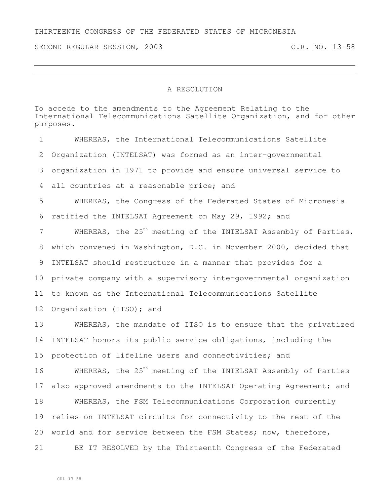SECOND REGULAR SESSION, 2003 C.R. NO. 13-58

## A RESOLUTION

To accede to the amendments to the Agreement Relating to the International Telecommunications Satellite Organization, and for other purposes.

 WHEREAS, the International Telecommunications Satellite Organization (INTELSAT) was formed as an inter-governmental organization in 1971 to provide and ensure universal service to all countries at a reasonable price; and WHEREAS, the Congress of the Federated States of Micronesia ratified the INTELSAT Agreement on May 29, 1992; and 7 WHEREAS, the 25<sup>th</sup> meeting of the INTELSAT Assembly of Parties, which convened in Washington, D.C. in November 2000, decided that INTELSAT should restructure in a manner that provides for a private company with a supervisory intergovernmental organization to known as the International Telecommunications Satellite 12 Organization (ITSO); and WHEREAS, the mandate of ITSO is to ensure that the privatized INTELSAT honors its public service obligations, including the protection of lifeline users and connectivities; and 16 MHEREAS, the 25<sup>th</sup> meeting of the INTELSAT Assembly of Parties 17 also approved amendments to the INTELSAT Operating Agreement; and WHEREAS, the FSM Telecommunications Corporation currently relies on INTELSAT circuits for connectivity to the rest of the world and for service between the FSM States; now, therefore, BE IT RESOLVED by the Thirteenth Congress of the Federated